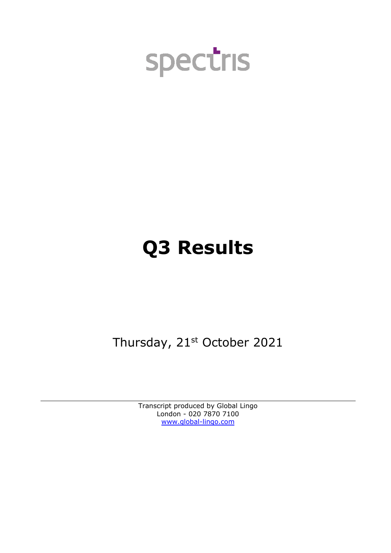

# **Q3 Results**

Thursday, 21st October 2021

Transcript produced by Global Lingo London - 020 7870 7100 [www.global-lingo.com](http://www.global-lingo.com/)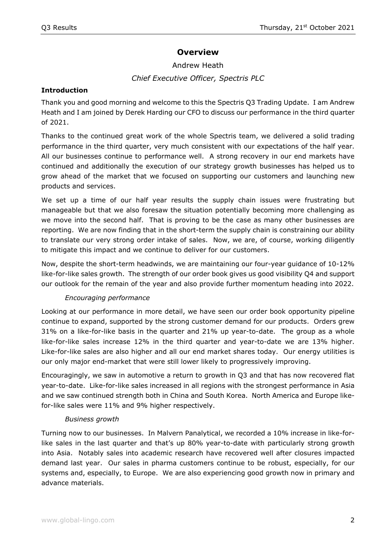## **Overview**

## Andrew Heath *Chief Executive Officer, Spectris PLC*

#### **Introduction**

Thank you and good morning and welcome to this the Spectris Q3 Trading Update. I am Andrew Heath and I am joined by Derek Harding our CFO to discuss our performance in the third quarter of 2021.

Thanks to the continued great work of the whole Spectris team, we delivered a solid trading performance in the third quarter, very much consistent with our expectations of the half year. All our businesses continue to performance well. A strong recovery in our end markets have continued and additionally the execution of our strategy growth businesses has helped us to grow ahead of the market that we focused on supporting our customers and launching new products and services.

We set up a time of our half year results the supply chain issues were frustrating but manageable but that we also foresaw the situation potentially becoming more challenging as we move into the second half. That is proving to be the case as many other businesses are reporting. We are now finding that in the short-term the supply chain is constraining our ability to translate our very strong order intake of sales. Now, we are, of course, working diligently to mitigate this impact and we continue to deliver for our customers.

Now, despite the short-term headwinds, we are maintaining our four-year guidance of 10-12% like-for-like sales growth. The strength of our order book gives us good visibility Q4 and support our outlook for the remain of the year and also provide further momentum heading into 2022.

#### *Encouraging performance*

Looking at our performance in more detail, we have seen our order book opportunity pipeline continue to expand, supported by the strong customer demand for our products. Orders grew 31% on a like-for-like basis in the quarter and 21% up year-to-date. The group as a whole like-for-like sales increase 12% in the third quarter and year-to-date we are 13% higher. Like-for-like sales are also higher and all our end market shares today. Our energy utilities is our only major end-market that were still lower likely to progressively improving.

Encouragingly, we saw in automotive a return to growth in Q3 and that has now recovered flat year-to-date. Like-for-like sales increased in all regions with the strongest performance in Asia and we saw continued strength both in China and South Korea. North America and Europe likefor-like sales were 11% and 9% higher respectively.

#### *Business growth*

Turning now to our businesses. In Malvern Panalytical, we recorded a 10% increase in like-forlike sales in the last quarter and that's up 80% year-to-date with particularly strong growth into Asia. Notably sales into academic research have recovered well after closures impacted demand last year. Our sales in pharma customers continue to be robust, especially, for our systems and, especially, to Europe. We are also experiencing good growth now in primary and advance materials.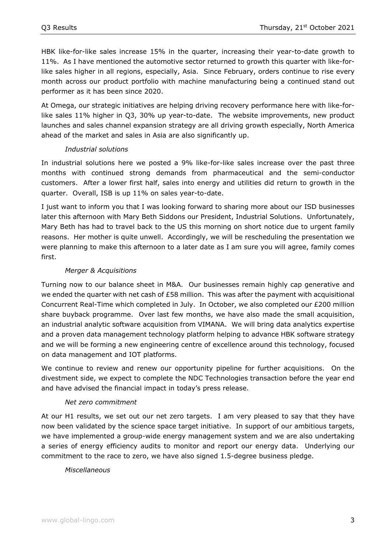HBK like-for-like sales increase 15% in the quarter, increasing their year-to-date growth to 11%. As I have mentioned the automotive sector returned to growth this quarter with like-forlike sales higher in all regions, especially, Asia. Since February, orders continue to rise every month across our product portfolio with machine manufacturing being a continued stand out performer as it has been since 2020.

At Omega, our strategic initiatives are helping driving recovery performance here with like-forlike sales 11% higher in Q3, 30% up year-to-date. The website improvements, new product launches and sales channel expansion strategy are all driving growth especially, North America ahead of the market and sales in Asia are also significantly up.

#### *Industrial solutions*

In industrial solutions here we posted a 9% like-for-like sales increase over the past three months with continued strong demands from pharmaceutical and the semi-conductor customers. After a lower first half, sales into energy and utilities did return to growth in the quarter. Overall, ISB is up 11% on sales year-to-date.

I just want to inform you that I was looking forward to sharing more about our ISD businesses later this afternoon with Mary Beth Siddons our President, Industrial Solutions. Unfortunately, Mary Beth has had to travel back to the US this morning on short notice due to urgent family reasons. Her mother is quite unwell. Accordingly, we will be rescheduling the presentation we were planning to make this afternoon to a later date as I am sure you will agree, family comes first.

#### *Merger & Acquisitions*

Turning now to our balance sheet in M&A. Our businesses remain highly cap generative and we ended the quarter with net cash of £58 million. This was after the payment with acquisitional Concurrent Real-Time which completed in July. In October, we also completed our £200 million share buyback programme. Over last few months, we have also made the small acquisition, an industrial analytic software acquisition from VIMANA. We will bring data analytics expertise and a proven data management technology platform helping to advance HBK software strategy and we will be forming a new engineering centre of excellence around this technology, focused on data management and IOT platforms.

We continue to review and renew our opportunity pipeline for further acquisitions. On the divestment side, we expect to complete the NDC Technologies transaction before the year end and have advised the financial impact in today's press release.

#### *Net zero commitment*

At our H1 results, we set out our net zero targets. I am very pleased to say that they have now been validated by the science space target initiative. In support of our ambitious targets, we have implemented a group-wide energy management system and we are also undertaking a series of energy efficiency audits to monitor and report our energy data. Underlying our commitment to the race to zero, we have also signed 1.5-degree business pledge.

#### *Miscellaneous*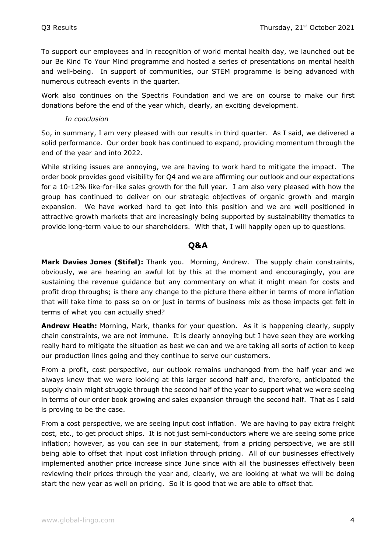To support our employees and in recognition of world mental health day, we launched out be our Be Kind To Your Mind programme and hosted a series of presentations on mental health and well-being. In support of communities, our STEM programme is being advanced with numerous outreach events in the quarter.

Work also continues on the Spectris Foundation and we are on course to make our first donations before the end of the year which, clearly, an exciting development.

#### *In conclusion*

So, in summary, I am very pleased with our results in third quarter. As I said, we delivered a solid performance. Our order book has continued to expand, providing momentum through the end of the year and into 2022.

While striking issues are annoying, we are having to work hard to mitigate the impact. The order book provides good visibility for Q4 and we are affirming our outlook and our expectations for a 10-12% like-for-like sales growth for the full year. I am also very pleased with how the group has continued to deliver on our strategic objectives of organic growth and margin expansion. We have worked hard to get into this position and we are well positioned in attractive growth markets that are increasingly being supported by sustainability thematics to provide long-term value to our shareholders. With that, I will happily open up to questions.

### **Q&A**

**Mark Davies Jones (Stifel):** Thank you. Morning, Andrew. The supply chain constraints, obviously, we are hearing an awful lot by this at the moment and encouragingly, you are sustaining the revenue guidance but any commentary on what it might mean for costs and profit drop throughs; is there any change to the picture there either in terms of more inflation that will take time to pass so on or just in terms of business mix as those impacts get felt in terms of what you can actually shed?

**Andrew Heath:** Morning, Mark, thanks for your question. As it is happening clearly, supply chain constraints, we are not immune. It is clearly annoying but I have seen they are working really hard to mitigate the situation as best we can and we are taking all sorts of action to keep our production lines going and they continue to serve our customers.

From a profit, cost perspective, our outlook remains unchanged from the half year and we always knew that we were looking at this larger second half and, therefore, anticipated the supply chain might struggle through the second half of the year to support what we were seeing in terms of our order book growing and sales expansion through the second half. That as I said is proving to be the case.

From a cost perspective, we are seeing input cost inflation. We are having to pay extra freight cost, etc., to get product ships. It is not just semi-conductors where we are seeing some price inflation; however, as you can see in our statement, from a pricing perspective, we are still being able to offset that input cost inflation through pricing. All of our businesses effectively implemented another price increase since June since with all the businesses effectively been reviewing their prices through the year and, clearly, we are looking at what we will be doing start the new year as well on pricing. So it is good that we are able to offset that.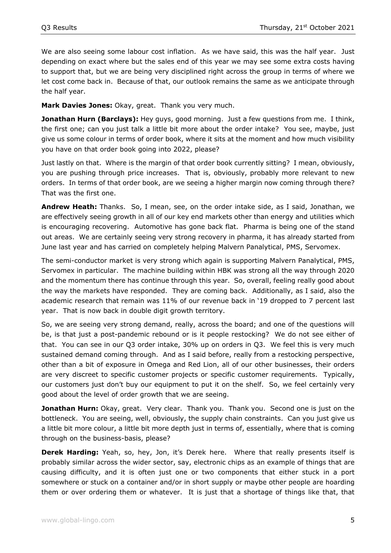We are also seeing some labour cost inflation. As we have said, this was the half year. Just depending on exact where but the sales end of this year we may see some extra costs having to support that, but we are being very disciplined right across the group in terms of where we let cost come back in. Because of that, our outlook remains the same as we anticipate through the half year.

**Mark Davies Jones:** Okay, great. Thank you very much.

**Jonathan Hurn (Barclays):** Hey guys, good morning. Just a few questions from me. I think, the first one; can you just talk a little bit more about the order intake? You see, maybe, just give us some colour in terms of order book, where it sits at the moment and how much visibility you have on that order book going into 2022, please?

Just lastly on that. Where is the margin of that order book currently sitting? I mean, obviously, you are pushing through price increases. That is, obviously, probably more relevant to new orders. In terms of that order book, are we seeing a higher margin now coming through there? That was the first one.

**Andrew Heath:** Thanks. So, I mean, see, on the order intake side, as I said, Jonathan, we are effectively seeing growth in all of our key end markets other than energy and utilities which is encouraging recovering. Automotive has gone back flat. Pharma is being one of the stand out areas. We are certainly seeing very strong recovery in pharma, it has already started from June last year and has carried on completely helping Malvern Panalytical, PMS, Servomex.

The semi-conductor market is very strong which again is supporting Malvern Panalytical, PMS, Servomex in particular. The machine building within HBK was strong all the way through 2020 and the momentum there has continue through this year. So, overall, feeling really good about the way the markets have responded. They are coming back. Additionally, as I said, also the academic research that remain was 11% of our revenue back in '19 dropped to 7 percent last year. That is now back in double digit growth territory.

So, we are seeing very strong demand, really, across the board; and one of the questions will be, is that just a post-pandemic rebound or is it people restocking? We do not see either of that. You can see in our Q3 order intake, 30% up on orders in Q3. We feel this is very much sustained demand coming through. And as I said before, really from a restocking perspective, other than a bit of exposure in Omega and Red Lion, all of our other businesses, their orders are very discreet to specific customer projects or specific customer requirements. Typically, our customers just don't buy our equipment to put it on the shelf. So, we feel certainly very good about the level of order growth that we are seeing.

**Jonathan Hurn:** Okay, great. Very clear. Thank you. Thank you. Second one is just on the bottleneck. You are seeing, well, obviously, the supply chain constraints. Can you just give us a little bit more colour, a little bit more depth just in terms of, essentially, where that is coming through on the business-basis, please?

**Derek Harding:** Yeah, so, hey, Jon, it's Derek here. Where that really presents itself is probably similar across the wider sector, say, electronic chips as an example of things that are causing difficulty, and it is often just one or two components that either stuck in a port somewhere or stuck on a container and/or in short supply or maybe other people are hoarding them or over ordering them or whatever. It is just that a shortage of things like that, that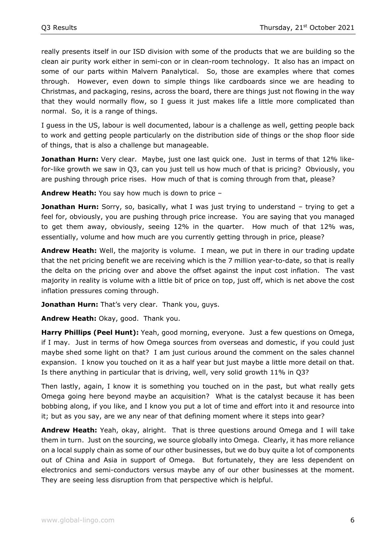really presents itself in our ISD division with some of the products that we are building so the clean air purity work either in semi-con or in clean-room technology. It also has an impact on some of our parts within Malvern Panalytical. So, those are examples where that comes through. However, even down to simple things like cardboards since we are heading to Christmas, and packaging, resins, across the board, there are things just not flowing in the way that they would normally flow, so I guess it just makes life a little more complicated than normal. So, it is a range of things.

I guess in the US, labour is well documented, labour is a challenge as well, getting people back to work and getting people particularly on the distribution side of things or the shop floor side of things, that is also a challenge but manageable.

**Jonathan Hurn:** Very clear. Maybe, just one last quick one. Just in terms of that 12% likefor-like growth we saw in Q3, can you just tell us how much of that is pricing? Obviously, you are pushing through price rises. How much of that is coming through from that, please?

**Andrew Heath:** You say how much is down to price –

**Jonathan Hurn:** Sorry, so, basically, what I was just trying to understand – trying to get a feel for, obviously, you are pushing through price increase. You are saying that you managed to get them away, obviously, seeing 12% in the quarter. How much of that 12% was, essentially, volume and how much are you currently getting through in price, please?

**Andrew Heath:** Well, the majority is volume. I mean, we put in there in our trading update that the net pricing benefit we are receiving which is the 7 million year-to-date, so that is really the delta on the pricing over and above the offset against the input cost inflation. The vast majority in reality is volume with a little bit of price on top, just off, which is net above the cost inflation pressures coming through.

**Jonathan Hurn:** That's very clear. Thank you, guys.

**Andrew Heath:** Okay, good. Thank you.

**Harry Phillips (Peel Hunt):** Yeah, good morning, everyone. Just a few questions on Omega, if I may. Just in terms of how Omega sources from overseas and domestic, if you could just maybe shed some light on that? I am just curious around the comment on the sales channel expansion. I know you touched on it as a half year but just maybe a little more detail on that. Is there anything in particular that is driving, well, very solid growth 11% in Q3?

Then lastly, again, I know it is something you touched on in the past, but what really gets Omega going here beyond maybe an acquisition? What is the catalyst because it has been bobbing along, if you like, and I know you put a lot of time and effort into it and resource into it; but as you say, are we any near of that defining moment where it steps into gear?

**Andrew Heath:** Yeah, okay, alright. That is three questions around Omega and I will take them in turn. Just on the sourcing, we source globally into Omega. Clearly, it has more reliance on a local supply chain as some of our other businesses, but we do buy quite a lot of components out of China and Asia in support of Omega. But fortunately, they are less dependent on electronics and semi-conductors versus maybe any of our other businesses at the moment. They are seeing less disruption from that perspective which is helpful.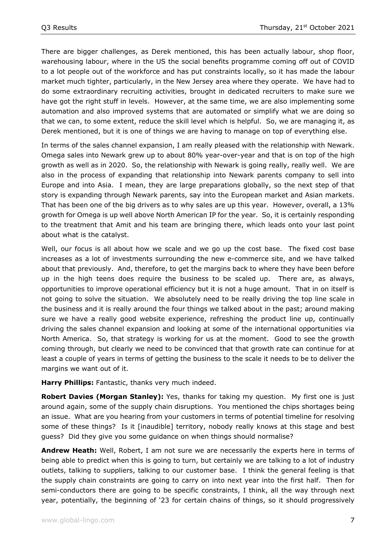There are bigger challenges, as Derek mentioned, this has been actually labour, shop floor, warehousing labour, where in the US the social benefits programme coming off out of COVID to a lot people out of the workforce and has put constraints locally, so it has made the labour market much tighter, particularly, in the New Jersey area where they operate. We have had to do some extraordinary recruiting activities, brought in dedicated recruiters to make sure we have got the right stuff in levels. However, at the same time, we are also implementing some automation and also improved systems that are automated or simplify what we are doing so that we can, to some extent, reduce the skill level which is helpful. So, we are managing it, as Derek mentioned, but it is one of things we are having to manage on top of everything else.

In terms of the sales channel expansion, I am really pleased with the relationship with Newark. Omega sales into Newark grew up to about 80% year-over-year and that is on top of the high growth as well as in 2020. So, the relationship with Newark is going really, really well. We are also in the process of expanding that relationship into Newark parents company to sell into Europe and into Asia. I mean, they are large preparations globally, so the next step of that story is expanding through Newark parents, say into the European market and Asian markets. That has been one of the big drivers as to why sales are up this year. However, overall, a 13% growth for Omega is up well above North American IP for the year. So, it is certainly responding to the treatment that Amit and his team are bringing there, which leads onto your last point about what is the catalyst.

Well, our focus is all about how we scale and we go up the cost base. The fixed cost base increases as a lot of investments surrounding the new e-commerce site, and we have talked about that previously. And, therefore, to get the margins back to where they have been before up in the high teens does require the business to be scaled up. There are, as always, opportunities to improve operational efficiency but it is not a huge amount. That in on itself is not going to solve the situation. We absolutely need to be really driving the top line scale in the business and it is really around the four things we talked about in the past; around making sure we have a really good website experience, refreshing the product line up, continually driving the sales channel expansion and looking at some of the international opportunities via North America. So, that strategy is working for us at the moment. Good to see the growth coming through, but clearly we need to be convinced that that growth rate can continue for at least a couple of years in terms of getting the business to the scale it needs to be to deliver the margins we want out of it.

**Harry Phillips:** Fantastic, thanks very much indeed.

**Robert Davies (Morgan Stanley):** Yes, thanks for taking my question. My first one is just around again, some of the supply chain disruptions. You mentioned the chips shortages being an issue. What are you hearing from your customers in terms of potential timeline for resolving some of these things? Is it [inaudible] territory, nobody really knows at this stage and best guess? Did they give you some guidance on when things should normalise?

**Andrew Heath:** Well, Robert, I am not sure we are necessarily the experts here in terms of being able to predict when this is going to turn, but certainly we are talking to a lot of industry outlets, talking to suppliers, talking to our customer base. I think the general feeling is that the supply chain constraints are going to carry on into next year into the first half. Then for semi-conductors there are going to be specific constraints, I think, all the way through next year, potentially, the beginning of '23 for certain chains of things, so it should progressively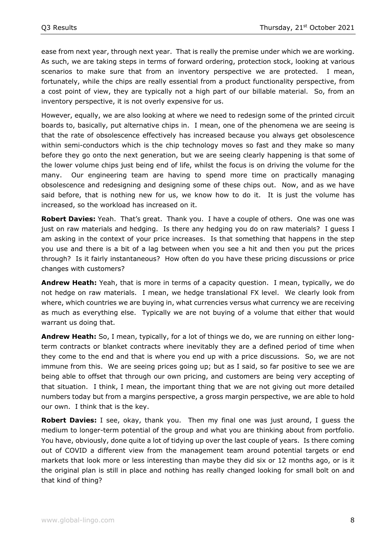ease from next year, through next year. That is really the premise under which we are working. As such, we are taking steps in terms of forward ordering, protection stock, looking at various scenarios to make sure that from an inventory perspective we are protected. I mean, fortunately, while the chips are really essential from a product functionality perspective, from a cost point of view, they are typically not a high part of our billable material. So, from an inventory perspective, it is not overly expensive for us.

However, equally, we are also looking at where we need to redesign some of the printed circuit boards to, basically, put alternative chips in. I mean, one of the phenomena we are seeing is that the rate of obsolescence effectively has increased because you always get obsolescence within semi-conductors which is the chip technology moves so fast and they make so many before they go onto the next generation, but we are seeing clearly happening is that some of the lower volume chips just being end of life, whilst the focus is on driving the volume for the many. Our engineering team are having to spend more time on practically managing obsolescence and redesigning and designing some of these chips out. Now, and as we have said before, that is nothing new for us, we know how to do it. It is just the volume has increased, so the workload has increased on it.

**Robert Davies:** Yeah. That's great. Thank you. I have a couple of others. One was one was just on raw materials and hedging. Is there any hedging you do on raw materials? I guess I am asking in the context of your price increases. Is that something that happens in the step you use and there is a bit of a lag between when you see a hit and then you put the prices through? Is it fairly instantaneous? How often do you have these pricing discussions or price changes with customers?

**Andrew Heath:** Yeah, that is more in terms of a capacity question. I mean, typically, we do not hedge on raw materials. I mean, we hedge translational FX level. We clearly look from where, which countries we are buying in, what currencies versus what currency we are receiving as much as everything else. Typically we are not buying of a volume that either that would warrant us doing that.

**Andrew Heath:** So, I mean, typically, for a lot of things we do, we are running on either longterm contracts or blanket contracts where inevitably they are a defined period of time when they come to the end and that is where you end up with a price discussions. So, we are not immune from this. We are seeing prices going up; but as I said, so far positive to see we are being able to offset that through our own pricing, and customers are being very accepting of that situation. I think, I mean, the important thing that we are not giving out more detailed numbers today but from a margins perspective, a gross margin perspective, we are able to hold our own. I think that is the key.

**Robert Davies:** I see, okay, thank you. Then my final one was just around, I guess the medium to longer-term potential of the group and what you are thinking about from portfolio. You have, obviously, done quite a lot of tidying up over the last couple of years. Is there coming out of COVID a different view from the management team around potential targets or end markets that look more or less interesting than maybe they did six or 12 months ago, or is it the original plan is still in place and nothing has really changed looking for small bolt on and that kind of thing?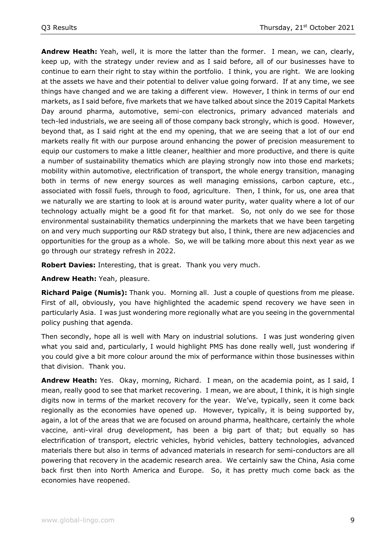**Andrew Heath:** Yeah, well, it is more the latter than the former. I mean, we can, clearly, keep up, with the strategy under review and as I said before, all of our businesses have to continue to earn their right to stay within the portfolio. I think, you are right. We are looking at the assets we have and their potential to deliver value going forward. If at any time, we see things have changed and we are taking a different view. However, I think in terms of our end markets, as I said before, five markets that we have talked about since the 2019 Capital Markets Day around pharma, automotive, semi-con electronics, primary advanced materials and tech-led industrials, we are seeing all of those company back strongly, which is good. However, beyond that, as I said right at the end my opening, that we are seeing that a lot of our end markets really fit with our purpose around enhancing the power of precision measurement to equip our customers to make a little cleaner, healthier and more productive, and there is quite a number of sustainability thematics which are playing strongly now into those end markets; mobility within automotive, electrification of transport, the whole energy transition, managing both in terms of new energy sources as well managing emissions, carbon capture, etc., associated with fossil fuels, through to food, agriculture. Then, I think, for us, one area that we naturally we are starting to look at is around water purity, water quality where a lot of our technology actually might be a good fit for that market. So, not only do we see for those environmental sustainability thematics underpinning the markets that we have been targeting on and very much supporting our R&D strategy but also, I think, there are new adjacencies and opportunities for the group as a whole. So, we will be talking more about this next year as we go through our strategy refresh in 2022.

**Robert Davies:** Interesting, that is great. Thank you very much.

**Andrew Heath:** Yeah, pleasure.

**Richard Paige (Numis):** Thank you. Morning all. Just a couple of questions from me please. First of all, obviously, you have highlighted the academic spend recovery we have seen in particularly Asia. I was just wondering more regionally what are you seeing in the governmental policy pushing that agenda.

Then secondly, hope all is well with Mary on industrial solutions. I was just wondering given what you said and, particularly, I would highlight PMS has done really well, just wondering if you could give a bit more colour around the mix of performance within those businesses within that division. Thank you.

**Andrew Heath:** Yes. Okay, morning, Richard. I mean, on the academia point, as I said, I mean, really good to see that market recovering. I mean, we are about, I think, it is high single digits now in terms of the market recovery for the year. We've, typically, seen it come back regionally as the economies have opened up. However, typically, it is being supported by, again, a lot of the areas that we are focused on around pharma, healthcare, certainly the whole vaccine, anti-viral drug development, has been a big part of that; but equally so has electrification of transport, electric vehicles, hybrid vehicles, battery technologies, advanced materials there but also in terms of advanced materials in research for semi-conductors are all powering that recovery in the academic research area. We certainly saw the China, Asia come back first then into North America and Europe. So, it has pretty much come back as the economies have reopened.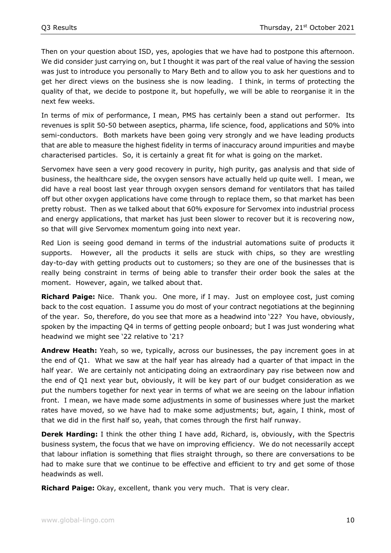Then on your question about ISD, yes, apologies that we have had to postpone this afternoon. We did consider just carrying on, but I thought it was part of the real value of having the session was just to introduce you personally to Mary Beth and to allow you to ask her questions and to get her direct views on the business she is now leading. I think, in terms of protecting the quality of that, we decide to postpone it, but hopefully, we will be able to reorganise it in the next few weeks.

In terms of mix of performance, I mean, PMS has certainly been a stand out performer. Its revenues is split 50-50 between aseptics, pharma, life science, food, applications and 50% into semi-conductors. Both markets have been going very strongly and we have leading products that are able to measure the highest fidelity in terms of inaccuracy around impurities and maybe characterised particles. So, it is certainly a great fit for what is going on the market.

Servomex have seen a very good recovery in purity, high purity, gas analysis and that side of business, the healthcare side, the oxygen sensors have actually held up quite well. I mean, we did have a real boost last year through oxygen sensors demand for ventilators that has tailed off but other oxygen applications have come through to replace them, so that market has been pretty robust. Then as we talked about that 60% exposure for Servomex into industrial process and energy applications, that market has just been slower to recover but it is recovering now, so that will give Servomex momentum going into next year.

Red Lion is seeing good demand in terms of the industrial automations suite of products it supports. However, all the products it sells are stuck with chips, so they are wrestling day-to-day with getting products out to customers; so they are one of the businesses that is really being constraint in terms of being able to transfer their order book the sales at the moment. However, again, we talked about that.

**Richard Paige:** Nice. Thank you. One more, if I may. Just on employee cost, just coming back to the cost equation. I assume you do most of your contract negotiations at the beginning of the year. So, therefore, do you see that more as a headwind into '22? You have, obviously, spoken by the impacting Q4 in terms of getting people onboard; but I was just wondering what headwind we might see '22 relative to '21?

**Andrew Heath:** Yeah, so we, typically, across our businesses, the pay increment goes in at the end of Q1. What we saw at the half year has already had a quarter of that impact in the half year. We are certainly not anticipating doing an extraordinary pay rise between now and the end of Q1 next year but, obviously, it will be key part of our budget consideration as we put the numbers together for next year in terms of what we are seeing on the labour inflation front. I mean, we have made some adjustments in some of businesses where just the market rates have moved, so we have had to make some adjustments; but, again, I think, most of that we did in the first half so, yeah, that comes through the first half runway.

**Derek Harding:** I think the other thing I have add, Richard, is, obviously, with the Spectris business system, the focus that we have on improving efficiency. We do not necessarily accept that labour inflation is something that flies straight through, so there are conversations to be had to make sure that we continue to be effective and efficient to try and get some of those headwinds as well.

**Richard Paige:** Okay, excellent, thank you very much. That is very clear.